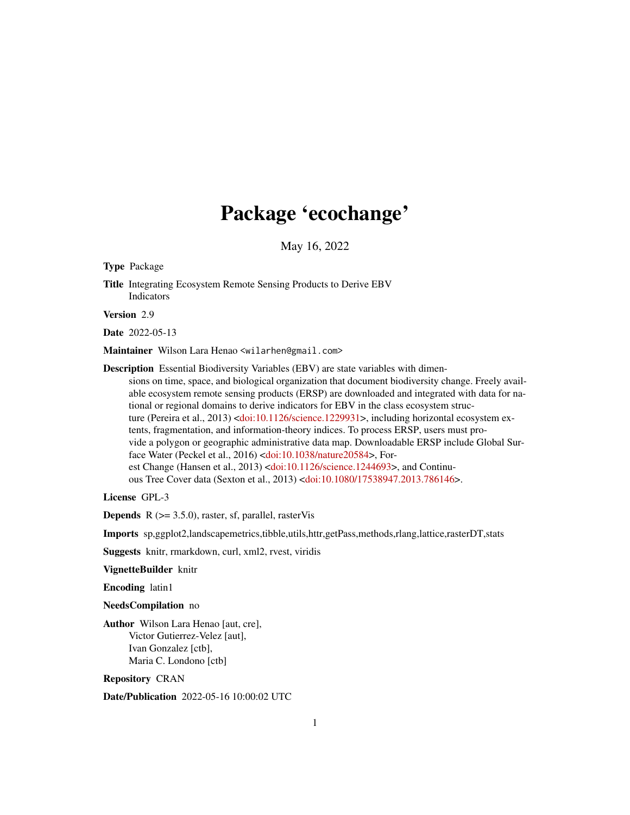## Package 'ecochange'

May 16, 2022

<span id="page-0-0"></span>Type Package

Title Integrating Ecosystem Remote Sensing Products to Derive EBV Indicators

Version 2.9

Date 2022-05-13

Maintainer Wilson Lara Henao <wilarhen@gmail.com>

Description Essential Biodiversity Variables (EBV) are state variables with dimensions on time, space, and biological organization that document biodiversity change. Freely available ecosystem remote sensing products (ERSP) are downloaded and integrated with data for national or regional domains to derive indicators for EBV in the class ecosystem struc-ture (Pereira et al., 2013) [<doi:10.1126/science.1229931>](https://doi.org/10.1126/science.1229931), including horizontal ecosystem extents, fragmentation, and information-theory indices. To process ERSP, users must provide a polygon or geographic administrative data map. Downloadable ERSP include Global Surface Water (Peckel et al., 2016) [<doi:10.1038/nature20584>](https://doi.org/10.1038/nature20584), For-est Change (Hansen et al., 2013) [<doi:10.1126/science.1244693>](https://doi.org/10.1126/science.1244693), and Continuous Tree Cover data (Sexton et al., 2013) [<doi:10.1080/17538947.2013.786146>](https://doi.org/10.1080/17538947.2013.786146).

License GPL-3

**Depends**  $R$  ( $>= 3.5.0$ ), raster, sf, parallel, rasterVis

Imports sp,ggplot2,landscapemetrics,tibble,utils,httr,getPass,methods,rlang,lattice,rasterDT,stats

Suggests knitr, rmarkdown, curl, xml2, rvest, viridis

VignetteBuilder knitr

Encoding latin1

NeedsCompilation no

Author Wilson Lara Henao [aut, cre], Victor Gutierrez-Velez [aut], Ivan Gonzalez [ctb], Maria C. Londono [ctb]

Repository CRAN

Date/Publication 2022-05-16 10:00:02 UTC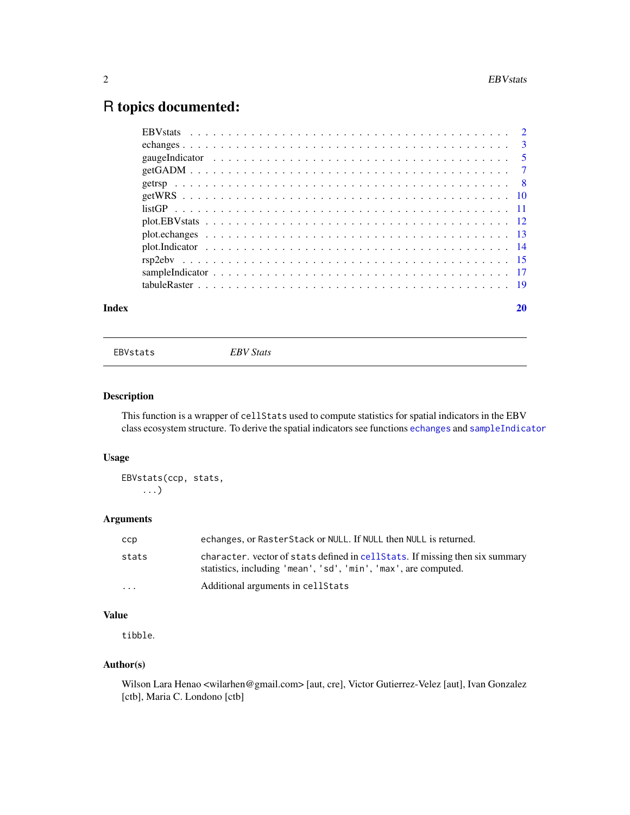### <span id="page-1-0"></span>R topics documented:

| Index |  |
|-------|--|
|       |  |
|       |  |
|       |  |
|       |  |
|       |  |
|       |  |
|       |  |
|       |  |
|       |  |
|       |  |
|       |  |
|       |  |
|       |  |

<span id="page-1-1"></span>EBVstats *EBV Stats*

#### Description

This function is a wrapper of cellStats used to compute statistics for spatial indicators in the EBV class ecosystem structure. To derive the spatial indicators see functions [echanges](#page-2-1) and [sampleIndicator](#page-16-1)

#### Usage

EBVstats(ccp, stats, ...)

#### Arguments

| ccp                     | echanges, or RasterStack or NULL. If NULL then NULL is returned.                                                                                |
|-------------------------|-------------------------------------------------------------------------------------------------------------------------------------------------|
| stats                   | character. vector of stats defined in cellStats. If missing then six summary<br>statistics, including 'mean', 'sd', 'min', 'max', are computed. |
| $\cdot$ $\cdot$ $\cdot$ | Additional arguments in cellStats                                                                                                               |

#### Value

tibble.

#### Author(s)

Wilson Lara Henao <wilarhen@gmail.com> [aut, cre], Victor Gutierrez-Velez [aut], Ivan Gonzalez [ctb], Maria C. Londono [ctb]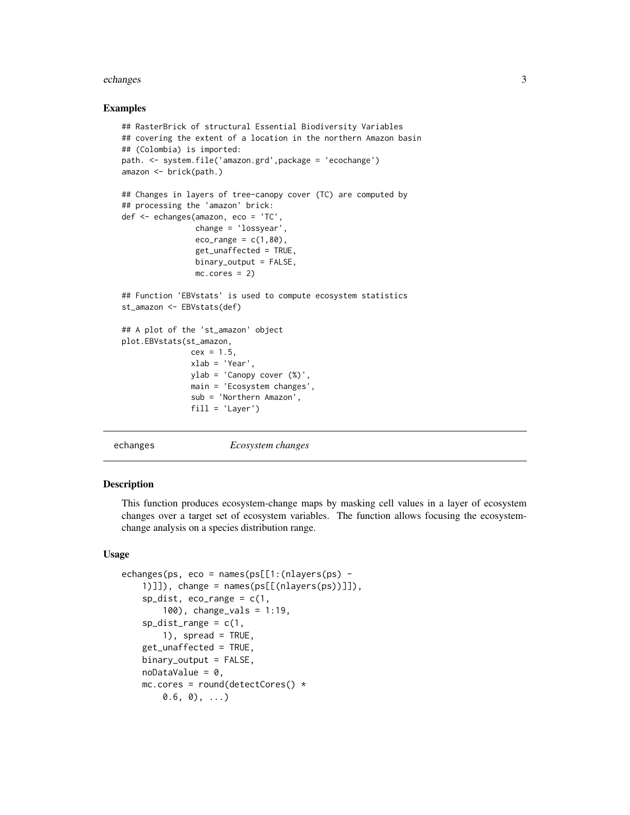#### <span id="page-2-0"></span>echanges 3

#### Examples

```
## RasterBrick of structural Essential Biodiversity Variables
## covering the extent of a location in the northern Amazon basin
## (Colombia) is imported:
path. <- system.file('amazon.grd',package = 'ecochange')
amazon <- brick(path.)
## Changes in layers of tree-canopy cover (TC) are computed by
## processing the 'amazon' brick:
def <- echanges(amazon, eco = 'TC',
                change = 'lossyear',
                eco_range = c(1, 80),
                get_unaffected = TRUE,
                binary_output = FALSE,
                mc.cores = 2)## Function 'EBVstats' is used to compute ecosystem statistics
st_amazon <- EBVstats(def)
## A plot of the 'st_amazon' object
plot.EBVstats(st_amazon,
               cex = 1.5,
               xlab = 'Year',
               ylab = 'Canopy cover (%)',
               main = 'Ecosystem changes',
               sub = 'Northern Amazon',
               fill = 'Layer')
```
<span id="page-2-1"></span>

echanges *Ecosystem changes*

#### Description

This function produces ecosystem-change maps by masking cell values in a layer of ecosystem changes over a target set of ecosystem variables. The function allows focusing the ecosystemchange analysis on a species distribution range.

#### Usage

```
echanges(ps, eco = names(ps[[1:(nlayers(ps) -
    1)]]), change = names(ps[[(nlayers(ps))]]),
    sp\_dist, eco_range = c(1),
        100), change_vals = 1:19,
    sp\_dist\_range = c(1,1), spread = TRUE,
    get_unaffected = TRUE,
    binary_output = FALSE,
    noDataValue = 0,mc.core = round(detectCores() *(0.6, 0), \ldots)
```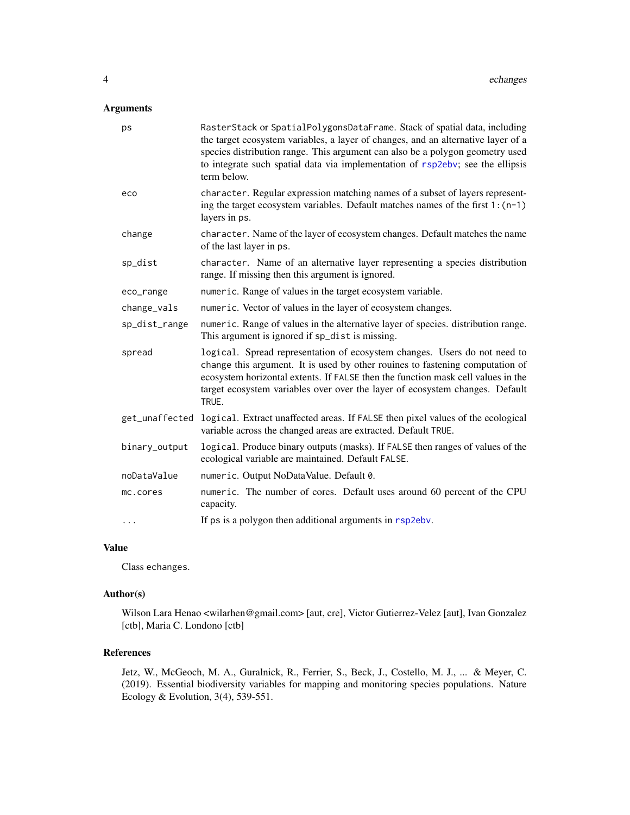#### <span id="page-3-0"></span>Arguments

| ps             | RasterStack or SpatialPolygonsDataFrame. Stack of spatial data, including<br>the target ecosystem variables, a layer of changes, and an alternative layer of a<br>species distribution range. This argument can also be a polygon geometry used<br>to integrate such spatial data via implementation of rsp2ebv; see the ellipsis<br>term below. |
|----------------|--------------------------------------------------------------------------------------------------------------------------------------------------------------------------------------------------------------------------------------------------------------------------------------------------------------------------------------------------|
| eco            | character. Regular expression matching names of a subset of layers represent-<br>ing the target ecosystem variables. Default matches names of the first $1:(n-1)$<br>layers in ps.                                                                                                                                                               |
| change         | character. Name of the layer of ecosystem changes. Default matches the name<br>of the last layer in ps.                                                                                                                                                                                                                                          |
| sp_dist        | character. Name of an alternative layer representing a species distribution<br>range. If missing then this argument is ignored.                                                                                                                                                                                                                  |
| eco_range      | numeric. Range of values in the target ecosystem variable.                                                                                                                                                                                                                                                                                       |
| change_vals    | numeric. Vector of values in the layer of ecosystem changes.                                                                                                                                                                                                                                                                                     |
| sp_dist_range  | numeric. Range of values in the alternative layer of species. distribution range.<br>This argument is ignored if sp_dist is missing.                                                                                                                                                                                                             |
| spread         | logical. Spread representation of ecosystem changes. Users do not need to<br>change this argument. It is used by other rouines to fastening computation of<br>ecosystem horizontal extents. If FALSE then the function mask cell values in the<br>target ecosystem variables over over the layer of ecosystem changes. Default<br>TRUE.          |
| get_unaffected | logical. Extract unaffected areas. If FALSE then pixel values of the ecological<br>variable across the changed areas are extracted. Default TRUE.                                                                                                                                                                                                |
| binary_output  | logical. Produce binary outputs (masks). If FALSE then ranges of values of the<br>ecological variable are maintained. Default FALSE.                                                                                                                                                                                                             |
| noDataValue    | numeric. Output NoDataValue. Default 0.                                                                                                                                                                                                                                                                                                          |
| mc.cores       | numeric. The number of cores. Default uses around 60 percent of the CPU<br>capacity.                                                                                                                                                                                                                                                             |
| .              | If ps is a polygon then additional arguments in rsp2ebv.                                                                                                                                                                                                                                                                                         |

#### Value

Class echanges.

#### Author(s)

Wilson Lara Henao <wilarhen@gmail.com> [aut, cre], Victor Gutierrez-Velez [aut], Ivan Gonzalez [ctb], Maria C. Londono [ctb]

#### References

Jetz, W., McGeoch, M. A., Guralnick, R., Ferrier, S., Beck, J., Costello, M. J., ... & Meyer, C. (2019). Essential biodiversity variables for mapping and monitoring species populations. Nature Ecology & Evolution, 3(4), 539-551.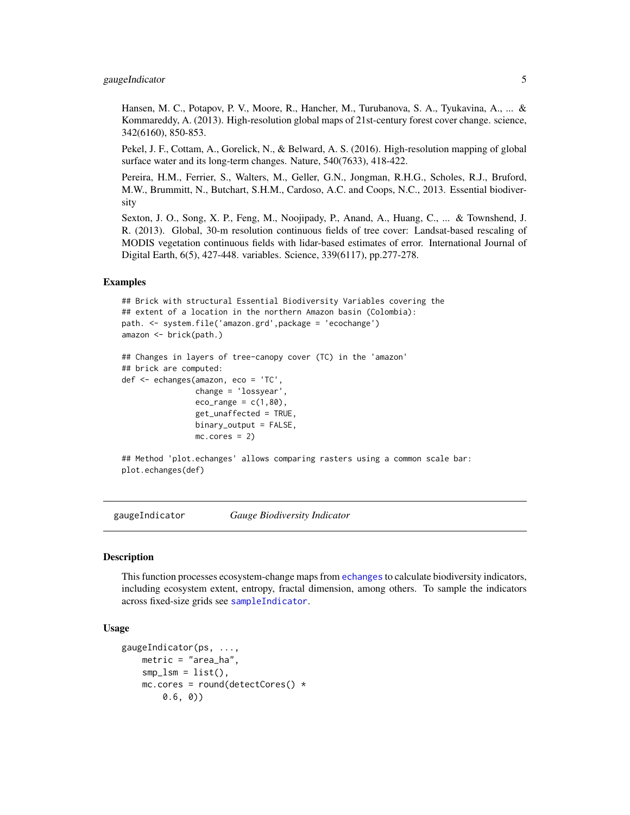#### <span id="page-4-0"></span>gaugeIndicator 5

Hansen, M. C., Potapov, P. V., Moore, R., Hancher, M., Turubanova, S. A., Tyukavina, A., ... & Kommareddy, A. (2013). High-resolution global maps of 21st-century forest cover change. science, 342(6160), 850-853.

Pekel, J. F., Cottam, A., Gorelick, N., & Belward, A. S. (2016). High-resolution mapping of global surface water and its long-term changes. Nature, 540(7633), 418-422.

Pereira, H.M., Ferrier, S., Walters, M., Geller, G.N., Jongman, R.H.G., Scholes, R.J., Bruford, M.W., Brummitt, N., Butchart, S.H.M., Cardoso, A.C. and Coops, N.C., 2013. Essential biodiversity

Sexton, J. O., Song, X. P., Feng, M., Noojipady, P., Anand, A., Huang, C., ... & Townshend, J. R. (2013). Global, 30-m resolution continuous fields of tree cover: Landsat-based rescaling of MODIS vegetation continuous fields with lidar-based estimates of error. International Journal of Digital Earth, 6(5), 427-448. variables. Science, 339(6117), pp.277-278.

#### Examples

```
## Brick with structural Essential Biodiversity Variables covering the
## extent of a location in the northern Amazon basin (Colombia):
path. <- system.file('amazon.grd',package = 'ecochange')
amazon <- brick(path.)
## Changes in layers of tree-canopy cover (TC) in the 'amazon'
## brick are computed:
def <- echanges(amazon, eco = 'TC',
                change = 'lossyear',
                eco_range = c(1,80),
                get_unaffected = TRUE,
                binary_output = FALSE,
                mc.cores = 2)
```
## Method 'plot.echanges' allows comparing rasters using a common scale bar: plot.echanges(def)

<span id="page-4-1"></span>gaugeIndicator *Gauge Biodiversity Indicator*

#### Description

This function processes ecosystem-change maps from [echanges](#page-2-1) to calculate biodiversity indicators, including ecosystem extent, entropy, fractal dimension, among others. To sample the indicators across fixed-size grids see [sampleIndicator](#page-16-1).

#### Usage

```
gaugeIndicator(ps, ...,
   metric = "area_ha",
   smp_lsm = list(),
   mc.core = round(detectCores() *0.6, 0))
```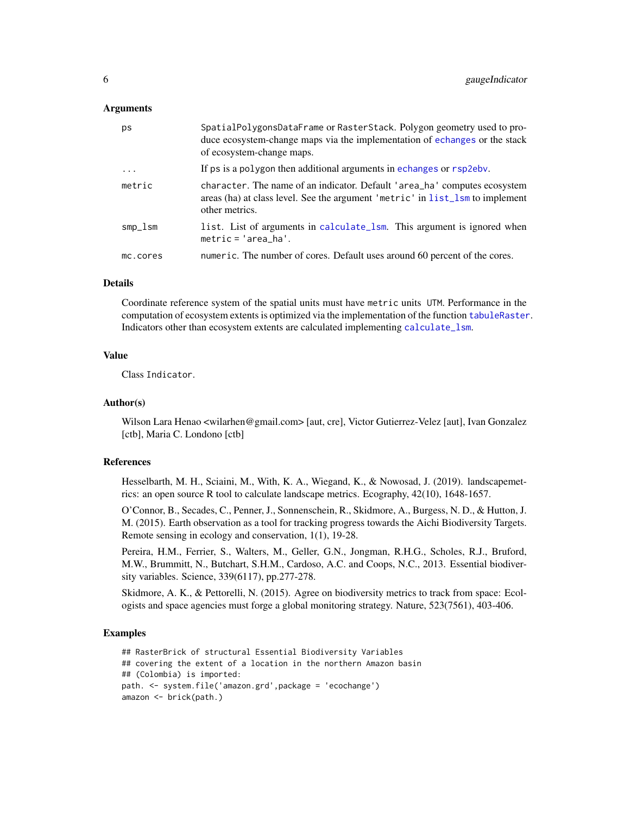#### <span id="page-5-0"></span>Arguments

| ps         | SpatialPolygonsDataFrame or RasterStack. Polygon geometry used to pro-<br>duce ecosystem-change maps via the implementation of echanges or the stack<br>of ecosystem-change maps. |
|------------|-----------------------------------------------------------------------------------------------------------------------------------------------------------------------------------|
| $\cdots$   | If ps is a polygon then additional arguments in echanges or rsp2eby.                                                                                                              |
| metric     | character. The name of an indicator. Default 'area_ha' computes ecosystem<br>areas (ha) at class level. See the argument 'metric' in list_lsm to implement<br>other metrics.      |
| $smp\_lsm$ | list. List of arguments in calculate_1sm. This argument is ignored when<br>$metric = 'area_ha'.$                                                                                  |
| mc.cores   | numeric. The number of cores. Default uses around 60 percent of the cores.                                                                                                        |

#### Details

Coordinate reference system of the spatial units must have metric units UTM. Performance in the computation of ecosystem extents is optimized via the implementation of the function [tabuleRaster](#page-18-1). Indicators other than ecosystem extents are calculated implementing [calculate\\_lsm](#page-0-0).

#### Value

Class Indicator.

#### Author(s)

Wilson Lara Henao <wilarhen@gmail.com> [aut, cre], Victor Gutierrez-Velez [aut], Ivan Gonzalez [ctb], Maria C. Londono [ctb]

#### References

Hesselbarth, M. H., Sciaini, M., With, K. A., Wiegand, K., & Nowosad, J. (2019). landscapemetrics: an open source R tool to calculate landscape metrics. Ecography, 42(10), 1648-1657.

O'Connor, B., Secades, C., Penner, J., Sonnenschein, R., Skidmore, A., Burgess, N. D., & Hutton, J. M. (2015). Earth observation as a tool for tracking progress towards the Aichi Biodiversity Targets. Remote sensing in ecology and conservation, 1(1), 19-28.

Pereira, H.M., Ferrier, S., Walters, M., Geller, G.N., Jongman, R.H.G., Scholes, R.J., Bruford, M.W., Brummitt, N., Butchart, S.H.M., Cardoso, A.C. and Coops, N.C., 2013. Essential biodiversity variables. Science, 339(6117), pp.277-278.

Skidmore, A. K., & Pettorelli, N. (2015). Agree on biodiversity metrics to track from space: Ecologists and space agencies must forge a global monitoring strategy. Nature, 523(7561), 403-406.

```
## RasterBrick of structural Essential Biodiversity Variables
## covering the extent of a location in the northern Amazon basin
## (Colombia) is imported:
path. <- system.file('amazon.grd',package = 'ecochange')
amazon <- brick(path.)
```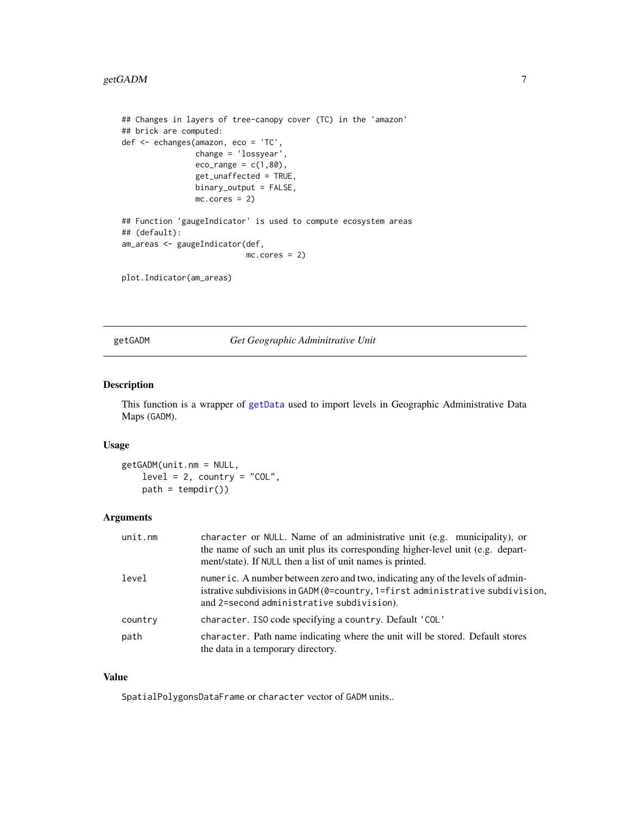#### <span id="page-6-0"></span>getGADM 7

```
## Changes in layers of tree-canopy cover (TC) in the 'amazon'
## brick are computed:
def <- echanges(amazon, eco = 'TC',
                change = 'lossyear',
                eco_range = c(1,80),
                get_unaffected = TRUE,
                binary_output = FALSE,
                mc.cores = 2)## Function 'gaugeIndicator' is used to compute ecosystem areas
## (default):
am_areas <- gaugeIndicator(def,
                           mc.cores = 2)
```
plot.Indicator(am\_areas)

<span id="page-6-1"></span>getGADM *Get Geographic Adminitrative Unit*

#### Description

This function is a wrapper of [getData](#page-0-0) used to import levels in Geographic Administrative Data Maps (GADM).

#### Usage

getGADM(unit.nm = NULL,  $level = 2$ , country = "COL",  $path = tempdir()$ 

#### Arguments

| unit.nm | character or NULL. Name of an administrative unit (e.g. municipality), or<br>the name of such an unit plus its corresponding higher-level unit (e.g. depart-<br>ment/state). If NULL then a list of unit names is printed. |
|---------|----------------------------------------------------------------------------------------------------------------------------------------------------------------------------------------------------------------------------|
| level   | numeric. A number between zero and two, indicating any of the levels of admin-<br>istrative subdivisions in GADM (0=country, 1=first administrative subdivision,<br>and 2=second administrative subdivision).              |
| country | character. ISO code specifying a country. Default 'COL'                                                                                                                                                                    |
| path    | character. Path name indicating where the unit will be stored. Default stores<br>the data in a temporary directory.                                                                                                        |

#### Value

SpatialPolygonsDataFrame or character vector of GADM units..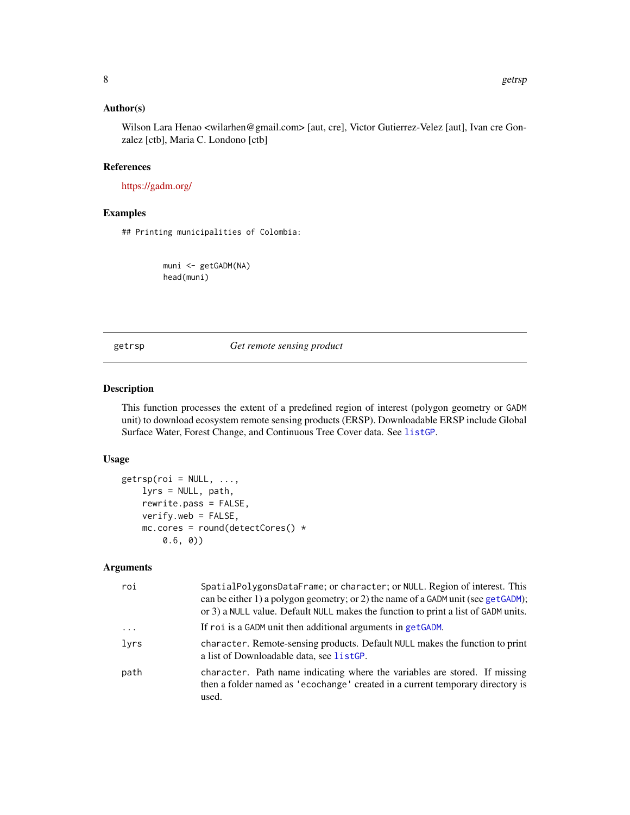#### <span id="page-7-0"></span>Author(s)

Wilson Lara Henao <wilarhen@gmail.com> [aut, cre], Victor Gutierrez-Velez [aut], Ivan cre Gonzalez [ctb], Maria C. Londono [ctb]

#### References

<https://gadm.org/>

#### Examples

## Printing municipalities of Colombia:

muni <- getGADM(NA) head(muni)

<span id="page-7-1"></span>getrsp *Get remote sensing product*

#### Description

This function processes the extent of a predefined region of interest (polygon geometry or GADM unit) to download ecosystem remote sensing products (ERSP). Downloadable ERSP include Global Surface Water, Forest Change, and Continuous Tree Cover data. See [listGP](#page-10-1).

#### Usage

```
getrsp(roi = NULL, ...,lyrs = NULL, path,
    rewrite.pass = FALSE,
   verify.web = FALSE,
   mc.core = round(detectCores() *0.6, 0))
```
#### Arguments

| roi      | SpatialPolygonsDataFrame; or character; or NULL. Region of interest. This<br>can be either 1) a polygon geometry; or 2) the name of a GADM unit (see getGADM);<br>or 3) a NULL value. Default NULL makes the function to print a list of GADM units. |
|----------|------------------------------------------------------------------------------------------------------------------------------------------------------------------------------------------------------------------------------------------------------|
| $\cdots$ | If roi is a GADM unit then additional arguments in getGADM.                                                                                                                                                                                          |
| lyrs     | character. Remote-sensing products. Default NULL makes the function to print<br>a list of Downloadable data, see listGP.                                                                                                                             |
| path     | character. Path name indicating where the variables are stored. If missing<br>then a folder named as 'ecochange' created in a current temporary directory is<br>used.                                                                                |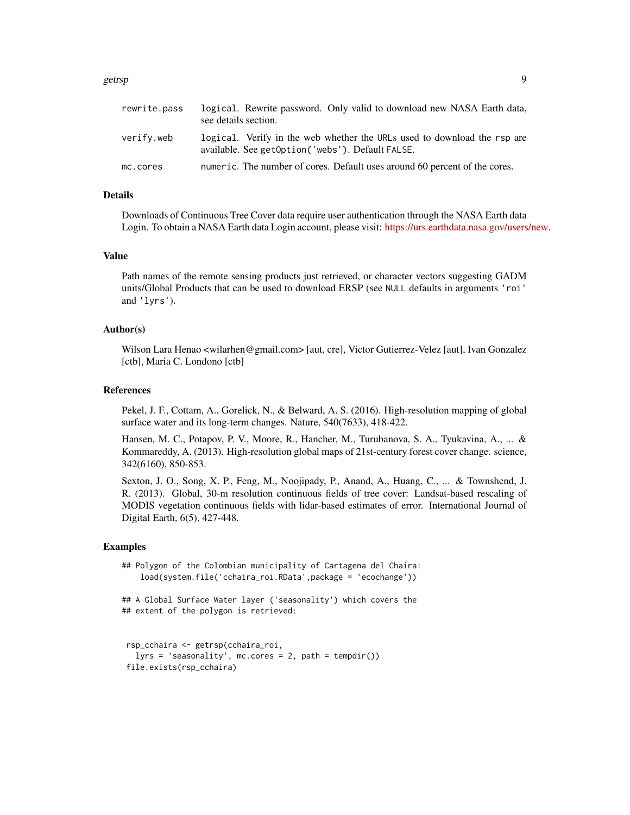#### getrsp 9

| rewrite.pass | logical. Rewrite password. Only valid to download new NASA Earth data,<br>see details section.                               |
|--------------|------------------------------------------------------------------------------------------------------------------------------|
| verify.web   | logical. Verify in the web whether the URLs used to download the rsp are<br>available. See getOption('webs'). Default FALSE. |
| mc.cores     | numeric. The number of cores. Default uses around 60 percent of the cores.                                                   |

#### Details

Downloads of Continuous Tree Cover data require user authentication through the NASA Earth data Login. To obtain a NASA Earth data Login account, please visit: [https://urs.earthdata.nasa.gov/users/new.](https://urs.earthdata.nasa.gov)

#### Value

Path names of the remote sensing products just retrieved, or character vectors suggesting GADM units/Global Products that can be used to download ERSP (see NULL defaults in arguments 'roi' and 'lyrs').

#### Author(s)

Wilson Lara Henao <wilarhen@gmail.com> [aut, cre], Victor Gutierrez-Velez [aut], Ivan Gonzalez [ctb], Maria C. Londono [ctb]

#### References

Pekel, J. F., Cottam, A., Gorelick, N., & Belward, A. S. (2016). High-resolution mapping of global surface water and its long-term changes. Nature, 540(7633), 418-422.

Hansen, M. C., Potapov, P. V., Moore, R., Hancher, M., Turubanova, S. A., Tyukavina, A., ... & Kommareddy, A. (2013). High-resolution global maps of 21st-century forest cover change. science, 342(6160), 850-853.

Sexton, J. O., Song, X. P., Feng, M., Noojipady, P., Anand, A., Huang, C., ... & Townshend, J. R. (2013). Global, 30-m resolution continuous fields of tree cover: Landsat-based rescaling of MODIS vegetation continuous fields with lidar-based estimates of error. International Journal of Digital Earth, 6(5), 427-448.

```
## Polygon of the Colombian municipality of Cartagena del Chaira:
   load(system.file('cchaira_roi.RData',package = 'ecochange'))
## A Global Surface Water layer ('seasonality') which covers the
## extent of the polygon is retrieved:
```

```
rsp_cchaira <- getrsp(cchaira_roi,
 lyrs = 'seasonality', mc.cores = 2, path = tempdir())
file.exists(rsp_cchaira)
```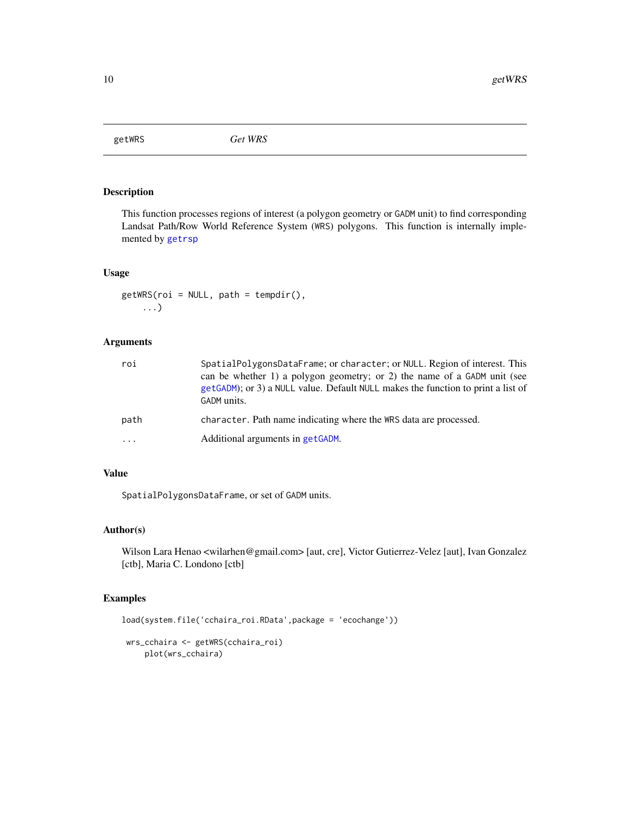<span id="page-9-0"></span>

#### Description

This function processes regions of interest (a polygon geometry or GADM unit) to find corresponding Landsat Path/Row World Reference System (WRS) polygons. This function is internally implemented by [getrsp](#page-7-1)

#### Usage

 $getWRS(roi = NULL, path = tempdir(),$ ...)

#### Arguments

| roi     | SpatialPolygonsDataFrame; or character; or NULL. Region of interest. This<br>can be whether 1) a polygon geometry; or 2) the name of a GADM unit (see<br>getGADM); or 3) a NULL value. Default NULL makes the function to print a list of<br>GADM units. |
|---------|----------------------------------------------------------------------------------------------------------------------------------------------------------------------------------------------------------------------------------------------------------|
| path    | character. Path name indicating where the WRS data are processed.                                                                                                                                                                                        |
| $\cdot$ | Additional arguments in getGADM.                                                                                                                                                                                                                         |

#### Value

SpatialPolygonsDataFrame, or set of GADM units.

#### Author(s)

Wilson Lara Henao <wilarhen@gmail.com> [aut, cre], Victor Gutierrez-Velez [aut], Ivan Gonzalez [ctb], Maria C. Londono [ctb]

```
load(system.file('cchaira_roi.RData',package = 'ecochange'))
 wrs_cchaira <- getWRS(cchaira_roi)
    plot(wrs_cchaira)
```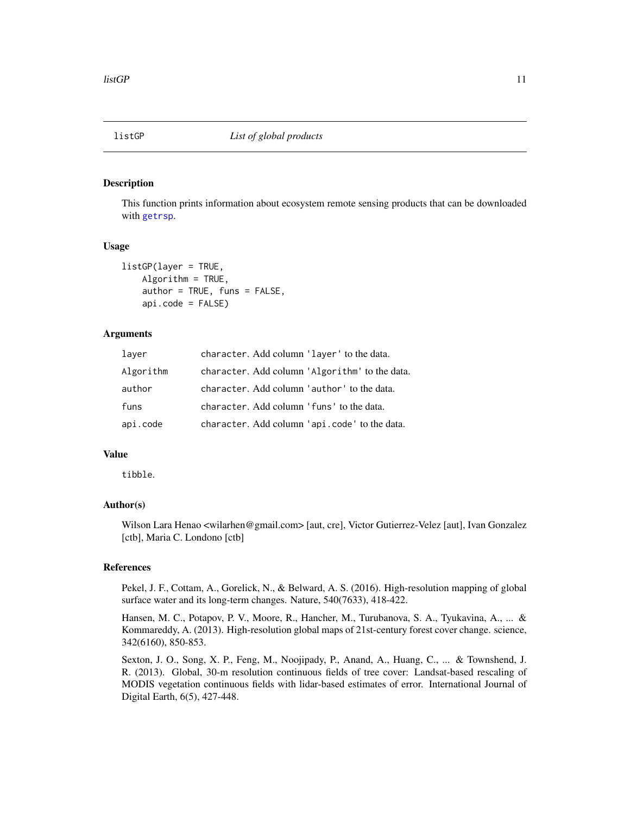<span id="page-10-1"></span><span id="page-10-0"></span>

#### Description

This function prints information about ecosystem remote sensing products that can be downloaded with [getrsp](#page-7-1).

#### Usage

```
listGP(layer = TRUE,
    Algorithm = TRUE,
    author = TRUE, funs = FALSE,
    api.code = FALSE)
```
#### Arguments

| laver     | character. Add column 'layer' to the data.     |
|-----------|------------------------------------------------|
| Algorithm | character. Add column 'Algorithm' to the data. |
| author    | character. Add column 'author' to the data.    |
| funs      | character. Add column 'funs' to the data.      |
| api.code  | character. Add column 'api.code' to the data.  |

#### Value

tibble.

#### Author(s)

Wilson Lara Henao <wilarhen@gmail.com> [aut, cre], Victor Gutierrez-Velez [aut], Ivan Gonzalez [ctb], Maria C. Londono [ctb]

#### References

Pekel, J. F., Cottam, A., Gorelick, N., & Belward, A. S. (2016). High-resolution mapping of global surface water and its long-term changes. Nature, 540(7633), 418-422.

Hansen, M. C., Potapov, P. V., Moore, R., Hancher, M., Turubanova, S. A., Tyukavina, A., ... & Kommareddy, A. (2013). High-resolution global maps of 21st-century forest cover change. science, 342(6160), 850-853.

Sexton, J. O., Song, X. P., Feng, M., Noojipady, P., Anand, A., Huang, C., ... & Townshend, J. R. (2013). Global, 30-m resolution continuous fields of tree cover: Landsat-based rescaling of MODIS vegetation continuous fields with lidar-based estimates of error. International Journal of Digital Earth, 6(5), 427-448.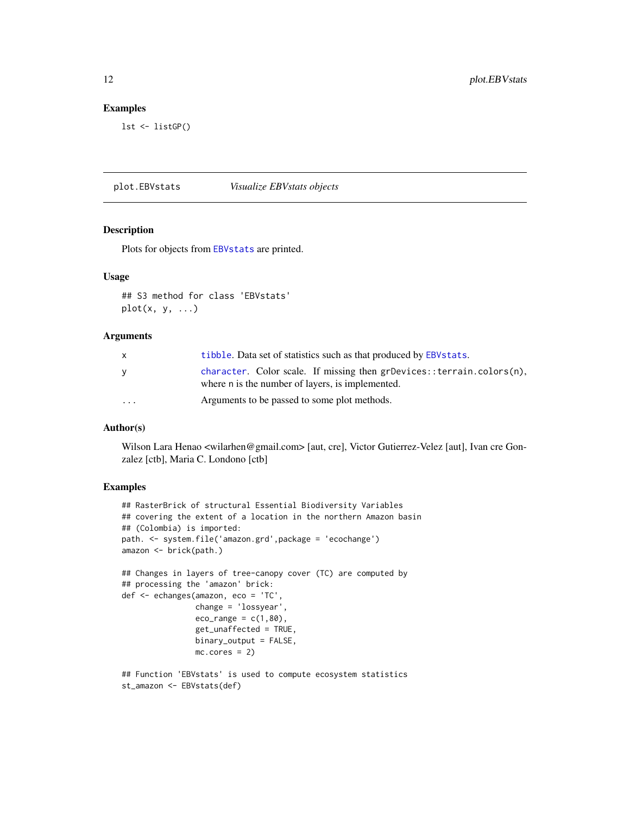#### Examples

lst <- listGP()

plot.EBVstats *Visualize EBVstats objects*

#### Description

Plots for objects from [EBVstats](#page-1-1) are printed.

#### Usage

## S3 method for class 'EBVstats'  $plot(x, y, ...)$ 

#### Arguments

| x        | tibble. Data set of statistics such as that produced by EBV stats.                                                        |
|----------|---------------------------------------------------------------------------------------------------------------------------|
| y        | character. Color scale. If missing then grDevices::terrain.colors(n),<br>where n is the number of layers, is implemented. |
| $\cdots$ | Arguments to be passed to some plot methods.                                                                              |

#### Author(s)

Wilson Lara Henao <wilarhen@gmail.com> [aut, cre], Victor Gutierrez-Velez [aut], Ivan cre Gonzalez [ctb], Maria C. Londono [ctb]

```
## RasterBrick of structural Essential Biodiversity Variables
## covering the extent of a location in the northern Amazon basin
## (Colombia) is imported:
path. <- system.file('amazon.grd',package = 'ecochange')
amazon <- brick(path.)
## Changes in layers of tree-canopy cover (TC) are computed by
## processing the 'amazon' brick:
def <- echanges(amazon, eco = 'TC',
                change = 'lossyear',
                eco_range = c(1,80),
                get_unaffected = TRUE,
                binary_output = FALSE,
                mc.cores = 2)## Function 'EBVstats' is used to compute ecosystem statistics
st_amazon <- EBVstats(def)
```
<span id="page-11-0"></span>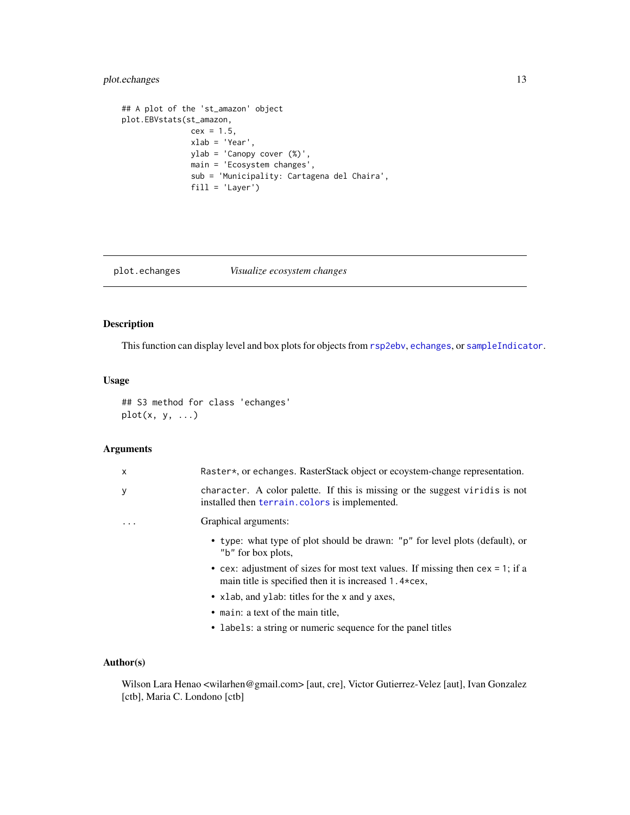#### <span id="page-12-0"></span>plot.echanges 13

```
## A plot of the 'st_amazon' object
plot.EBVstats(st_amazon,
              cex = 1.5,
              xlab = 'Year',
              ylab = 'Canopy cover (%)',
              main = 'Ecosystem changes',
              sub = 'Municipality: Cartagena del Chaira',
              fill = 'Layer')
```
#### plot.echanges *Visualize ecosystem changes*

#### Description

This function can display level and box plots for objects from [rsp2ebv](#page-14-1), [echanges](#page-2-1), or [sampleIndicator](#page-16-1).

#### Usage

## S3 method for class 'echanges'  $plot(x, y, ...)$ 

#### Arguments

| $\times$                | Raster*, or echanges. RasterStack object or ecoystem-change representation.                                                                         |
|-------------------------|-----------------------------------------------------------------------------------------------------------------------------------------------------|
| у                       | character. A color palette. If this is missing or the suggest viridis is not<br>installed then terrain. colors is implemented.                      |
| $\cdot$ $\cdot$ $\cdot$ | Graphical arguments:                                                                                                                                |
|                         | • type: what type of plot should be drawn: "p" for level plots (default), or<br>"b" for box plots,                                                  |
|                         | • cex: adjustment of sizes for most text values. If missing then $cex = 1$ ; if a<br>main title is specified then it is increased $1.4 \times$ cex, |
|                         | • x Lab, and y Lab: titles for the x and y axes,                                                                                                    |
|                         | • main: a text of the main title,                                                                                                                   |
|                         | • labels: a string or numeric sequence for the panel titles                                                                                         |
|                         |                                                                                                                                                     |

#### Author(s)

Wilson Lara Henao <wilarhen@gmail.com> [aut, cre], Victor Gutierrez-Velez [aut], Ivan Gonzalez [ctb], Maria C. Londono [ctb]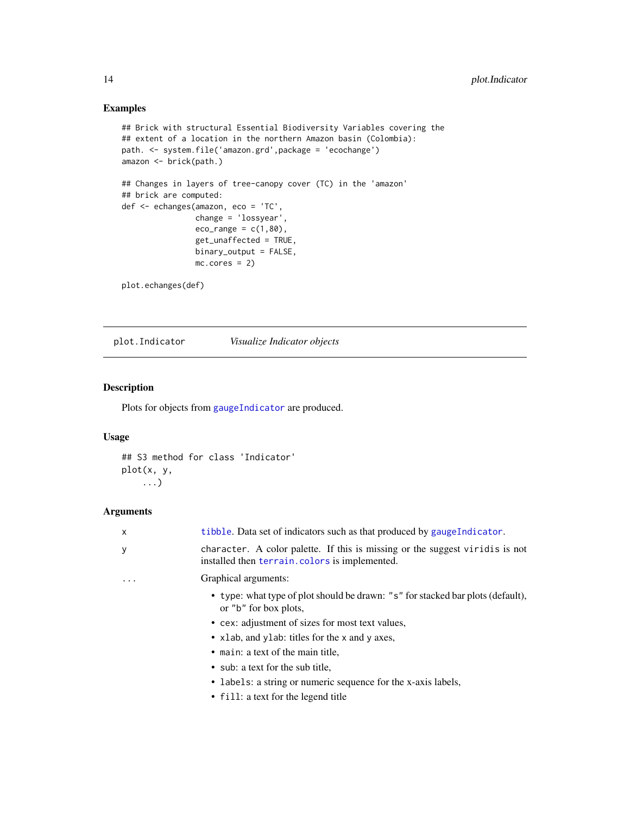#### Examples

```
## Brick with structural Essential Biodiversity Variables covering the
## extent of a location in the northern Amazon basin (Colombia):
path. <- system.file('amazon.grd',package = 'ecochange')
amazon <- brick(path.)
## Changes in layers of tree-canopy cover (TC) in the 'amazon'
## brick are computed:
def <- echanges(amazon, eco = 'TC',
                change = 'lossyear',
                eco_range = c(1,80),
                get_unaffected = TRUE,
                binary_output = FALSE,
                mc.cores = 2)
```
plot.echanges(def)

plot.Indicator *Visualize Indicator objects*

#### Description

Plots for objects from [gaugeIndicator](#page-4-1) are produced.

#### Usage

```
## S3 method for class 'Indicator'
plot(x, y,
    ...)
```
#### Arguments

| $\mathsf{x}$ | tibble. Data set of indicators such as that produced by gauge Indicator.                                                      |
|--------------|-------------------------------------------------------------------------------------------------------------------------------|
| y            | character. A color palette. If this is missing or the suggest viridis is not<br>installed then terrain.colors is implemented. |
|              | Graphical arguments:                                                                                                          |
|              | • type: what type of plot should be drawn: "s" for stacked bar plots (default),<br>or "b" for box plots,                      |
|              | • cex: adjustment of sizes for most text values,                                                                              |
|              | • xlab, and ylab: titles for the x and y axes,                                                                                |
|              | • main: a text of the main title,                                                                                             |
|              | • sub: a text for the sub title,                                                                                              |
|              | • labels: a string or numeric sequence for the x-axis labels,                                                                 |
|              | • fill: a text for the legend title                                                                                           |

<span id="page-13-0"></span>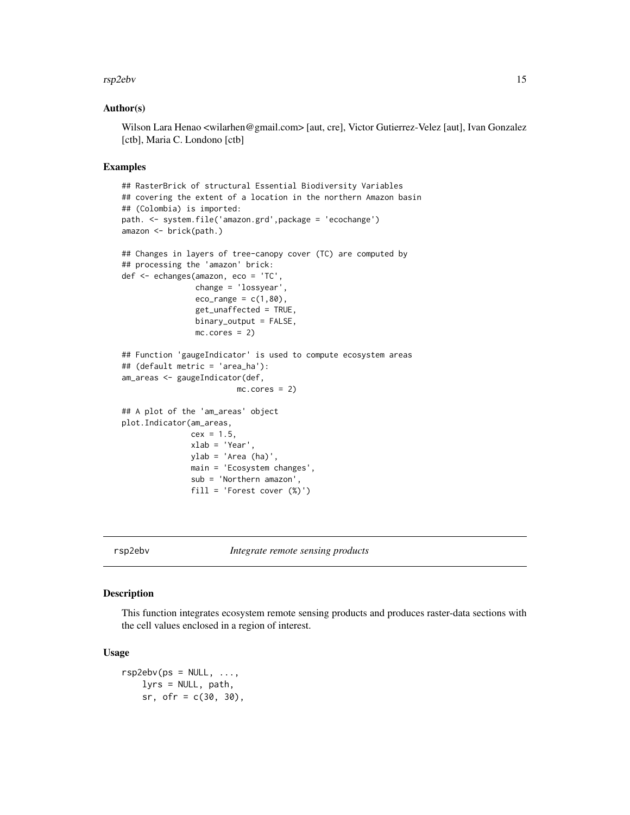#### <span id="page-14-0"></span>rsp2ebv 15

#### Author(s)

Wilson Lara Henao <wilarhen@gmail.com> [aut, cre], Victor Gutierrez-Velez [aut], Ivan Gonzalez [ctb], Maria C. Londono [ctb]

#### Examples

```
## RasterBrick of structural Essential Biodiversity Variables
## covering the extent of a location in the northern Amazon basin
## (Colombia) is imported:
path. <- system.file('amazon.grd',package = 'ecochange')
amazon <- brick(path.)
## Changes in layers of tree-canopy cover (TC) are computed by
## processing the 'amazon' brick:
def <- echanges(amazon, eco = 'TC'
                change = 'lossyear',
                eco_range = c(1,80),
                get_unaffected = TRUE,
                binary_output = FALSE,
                mc.cores = 2)
## Function 'gaugeIndicator' is used to compute ecosystem areas
## (default metric = 'area_ha'):
am_areas <- gaugeIndicator(def,
                         mc.cores = 2)
## A plot of the 'am_areas' object
plot.Indicator(am_areas,
               cex = 1.5,
               xlab = 'Year',
               ylab = 'Area (ha)',
               main = 'Ecosystem changes',
               sub = 'Northern amazon',
               fill = 'Forest cover (%)')
```
<span id="page-14-1"></span>rsp2ebv *Integrate remote sensing products*

#### Description

This function integrates ecosystem remote sensing products and produces raster-data sections with the cell values enclosed in a region of interest.

#### Usage

```
rsp2ebv(ps = NULL, ...,lyrs = NULL, path,
    sr, ofr = c(30, 30),
```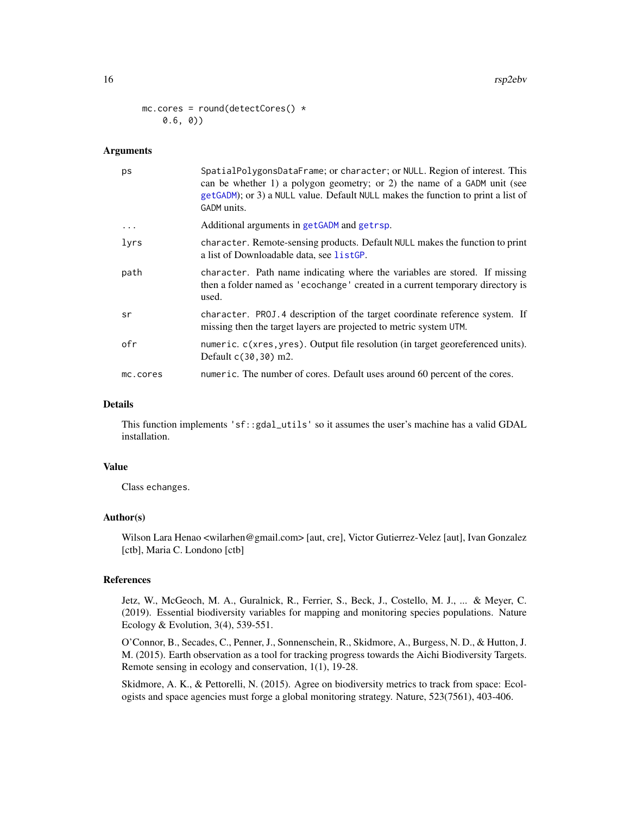```
mc.core = round(detectCores() *0.6, 0))
```
#### **Arguments**

| ps       | SpatialPolygonsDataFrame; or character; or NULL. Region of interest. This<br>can be whether 1) a polygon geometry; or 2) the name of a GADM unit (see<br>getGADM); or 3) a NULL value. Default NULL makes the function to print a list of<br>GADM units. |
|----------|----------------------------------------------------------------------------------------------------------------------------------------------------------------------------------------------------------------------------------------------------------|
| $\cdots$ | Additional arguments in getGADM and getrsp.                                                                                                                                                                                                              |
| lyrs     | character. Remote-sensing products. Default NULL makes the function to print<br>a list of Downloadable data, see listGP.                                                                                                                                 |
| path     | character. Path name indicating where the variables are stored. If missing<br>then a folder named as 'ecochange' created in a current temporary directory is<br>used.                                                                                    |
| sr       | character. PROJ.4 description of the target coordinate reference system. If<br>missing then the target layers are projected to metric system UTM.                                                                                                        |
| ofr      | numeric. c(xres, yres). Output file resolution (in target georeferenced units).<br>Default $c(30, 30)$ m2.                                                                                                                                               |
| mc.cores | numeric. The number of cores. Default uses around 60 percent of the cores.                                                                                                                                                                               |

#### Details

This function implements 'sf::gdal\_utils' so it assumes the user's machine has a valid GDAL installation.

#### Value

Class echanges.

#### Author(s)

Wilson Lara Henao <wilarhen@gmail.com> [aut, cre], Victor Gutierrez-Velez [aut], Ivan Gonzalez [ctb], Maria C. Londono [ctb]

#### References

Jetz, W., McGeoch, M. A., Guralnick, R., Ferrier, S., Beck, J., Costello, M. J., ... & Meyer, C. (2019). Essential biodiversity variables for mapping and monitoring species populations. Nature Ecology & Evolution, 3(4), 539-551.

O'Connor, B., Secades, C., Penner, J., Sonnenschein, R., Skidmore, A., Burgess, N. D., & Hutton, J. M. (2015). Earth observation as a tool for tracking progress towards the Aichi Biodiversity Targets. Remote sensing in ecology and conservation, 1(1), 19-28.

Skidmore, A. K., & Pettorelli, N. (2015). Agree on biodiversity metrics to track from space: Ecologists and space agencies must forge a global monitoring strategy. Nature, 523(7561), 403-406.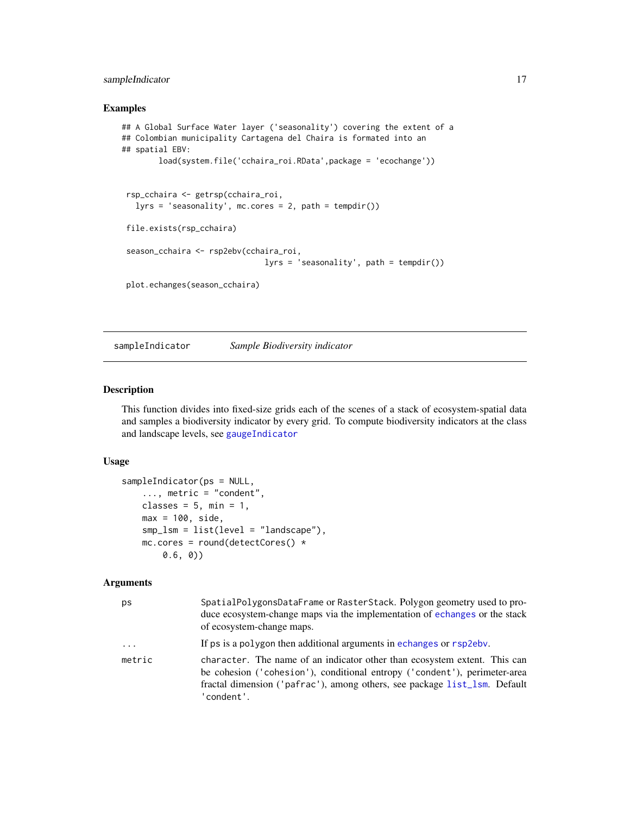#### <span id="page-16-0"></span>sampleIndicator 17

#### Examples

```
## A Global Surface Water layer ('seasonality') covering the extent of a
## Colombian municipality Cartagena del Chaira is formated into an
## spatial EBV:
       load(system.file('cchaira_roi.RData',package = 'ecochange'))
rsp_cchaira <- getrsp(cchaira_roi,
  lyrs = 'seasonality', mc.cores = 2, path = tempdir())
 file.exists(rsp_cchaira)
 season_cchaira <- rsp2ebv(cchaira_roi,
                              lyrs = 'seasonality', path = tempdir())
 plot.echanges(season_cchaira)
```
<span id="page-16-1"></span>sampleIndicator *Sample Biodiversity indicator*

#### Description

This function divides into fixed-size grids each of the scenes of a stack of ecosystem-spatial data and samples a biodiversity indicator by every grid. To compute biodiversity indicators at the class and landscape levels, see [gaugeIndicator](#page-4-1)

#### Usage

```
sampleIndicator(ps = NULL,
   ..., metric = "condent",
   classes = 5, min = 1,
   max = 100, side,
   smp_lsm = list(level = "landscape"),
   mc.core = round(detectCores() *0.6, 0))
```
#### Arguments

| ps       | SpatialPolygonsDataFrame or RasterStack. Polygon geometry used to pro-<br>duce ecosystem-change maps via the implementation of echanges or the stack<br>of ecosystem-change maps.                                                                 |
|----------|---------------------------------------------------------------------------------------------------------------------------------------------------------------------------------------------------------------------------------------------------|
| $\ddots$ | If ps is a polygon then additional arguments in echanges or rsp2ebv.                                                                                                                                                                              |
| metric   | character. The name of an indicator other than ecosystem extent. This can<br>be cohesion ('cohesion'), conditional entropy ('condent'), perimeter-area<br>fractal dimension ('pafrac'), among others, see package list_lsm. Default<br>'condent'. |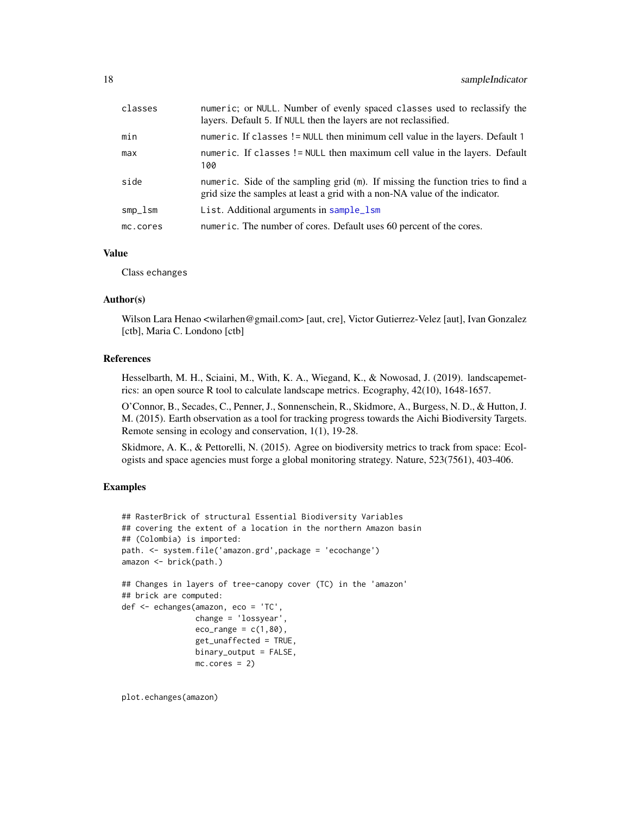<span id="page-17-0"></span>

| classes  | numeric; or NULL. Number of evenly spaced classes used to reclassify the<br>layers. Default 5. If NULL then the layers are not reclassified.                   |
|----------|----------------------------------------------------------------------------------------------------------------------------------------------------------------|
| min      | numeric. If classes != NULL then minimum cell value in the layers. Default 1                                                                                   |
| max      | numeric. If classes != NULL then maximum cell value in the layers. Default<br>100                                                                              |
| side     | numeric. Side of the sampling grid (m). If missing the function tries to find a<br>grid size the samples at least a grid with a non-NA value of the indicator. |
| smp_lsm  | List. Additional arguments in sample_lsm                                                                                                                       |
| mc.cores | numeric. The number of cores. Default uses 60 percent of the cores.                                                                                            |

#### Value

Class echanges

#### Author(s)

Wilson Lara Henao <wilarhen@gmail.com> [aut, cre], Victor Gutierrez-Velez [aut], Ivan Gonzalez [ctb], Maria C. Londono [ctb]

#### References

Hesselbarth, M. H., Sciaini, M., With, K. A., Wiegand, K., & Nowosad, J. (2019). landscapemetrics: an open source R tool to calculate landscape metrics. Ecography, 42(10), 1648-1657.

O'Connor, B., Secades, C., Penner, J., Sonnenschein, R., Skidmore, A., Burgess, N. D., & Hutton, J. M. (2015). Earth observation as a tool for tracking progress towards the Aichi Biodiversity Targets. Remote sensing in ecology and conservation, 1(1), 19-28.

Skidmore, A. K., & Pettorelli, N. (2015). Agree on biodiversity metrics to track from space: Ecologists and space agencies must forge a global monitoring strategy. Nature, 523(7561), 403-406.

#### Examples

```
## RasterBrick of structural Essential Biodiversity Variables
## covering the extent of a location in the northern Amazon basin
## (Colombia) is imported:
path. <- system.file('amazon.grd',package = 'ecochange')
amazon <- brick(path.)
## Changes in layers of tree-canopy cover (TC) in the 'amazon'
## brick are computed:
def <- echanges(amazon, eco = 'TC',
               change = 'lossyear',
               eco_range = c(1,80),
                get_unaffected = TRUE,
               binary_output = FALSE,
               mc.core = 2)
```
plot.echanges(amazon)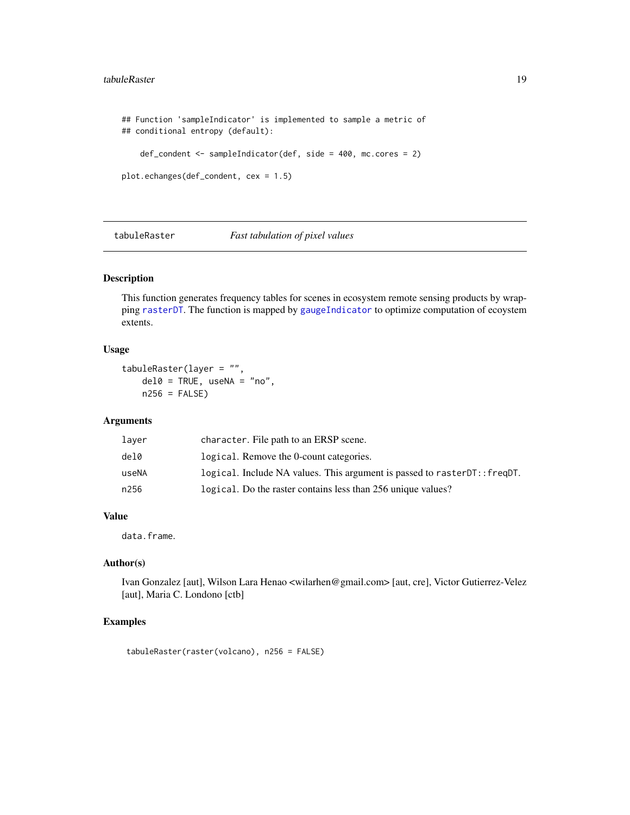#### <span id="page-18-0"></span>tabuleRaster 19

```
## Function 'sampleIndicator' is implemented to sample a metric of
## conditional entropy (default):
   def_condent <- sampleIndicator(def, side = 400, mc.cores = 2)
plot.echanges(def_condent, cex = 1.5)
```
<span id="page-18-1"></span>tabuleRaster *Fast tabulation of pixel values*

#### Description

This function generates frequency tables for scenes in ecosystem remote sensing products by wrapping [rasterDT](#page-0-0). The function is mapped by [gaugeIndicator](#page-4-1) to optimize computation of ecoystem extents.

#### Usage

```
tabuleRaster(layer = "",
   del0 = TRUE, useNA = "no",n256 = FALSE
```
#### Arguments

| laver | character. File path to an ERSP scene.                                      |
|-------|-----------------------------------------------------------------------------|
| del0  | logical. Remove the 0-count categories.                                     |
| useNA | logical. Include NA values. This argument is passed to raster DT:: freq DT. |
| n256  | logical. Do the raster contains less than 256 unique values?                |

#### Value

data.frame.

#### Author(s)

Ivan Gonzalez [aut], Wilson Lara Henao <wilarhen@gmail.com> [aut, cre], Victor Gutierrez-Velez [aut], Maria C. Londono [ctb]

#### Examples

tabuleRaster(raster(volcano), n256 = FALSE)